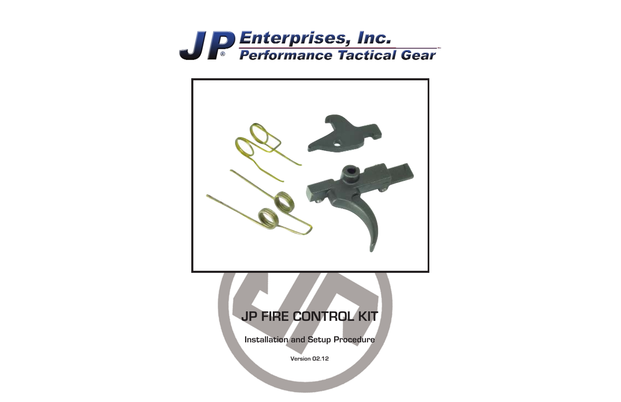

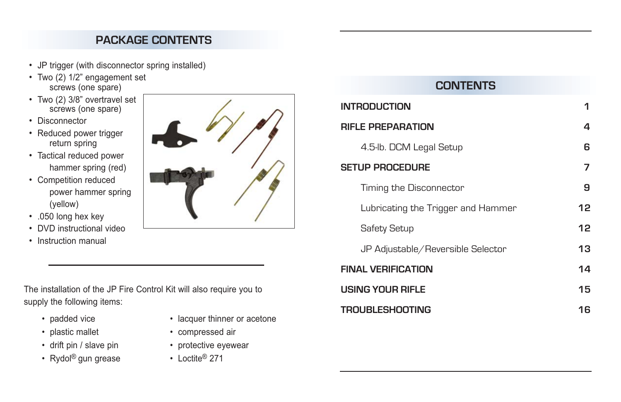### **PACKAGE CONTENTS**

- JP trigger (with disconnector spring installed)
- Two (2) 1/2" engagement set screws (one spare)
- Two (2) 3/8" overtravel set screws (one spare)
- Disconnector
- Reduced power trigger return spring
- Tactical reduced power hammer spring (red)
- Competition reduced power hammer spring (yellow)
- .050 long hex key
- DVD instructional video
- Instruction manual



- padded vice lacquer thinner or acetone
- plastic mallet compressed air
- drift pin / slave pin protective eyewear
- Rydol<sup>®</sup> gun grease Loctite<sup>®</sup> 271



### **CONTENTS**

| <b>INTRODUCTION</b>                | 1  |
|------------------------------------|----|
| <b>RIFLE PREPARATION</b>           | 4  |
| 4.5-lb. DCM Legal Setup            | 6  |
| <b>SETUP PROCEDURE</b>             | 7  |
| Timing the Disconnector            | 9  |
| Lubricating the Trigger and Hammer | 12 |
| Safety Setup                       | 12 |
| JP Adjustable/Reversible Selector  | 13 |
| <b>FINAL VERIFICATION</b>          | 14 |
| USING YOUR RIFLE                   | 15 |
| <b>TROUBLESHOOTING</b>             | 16 |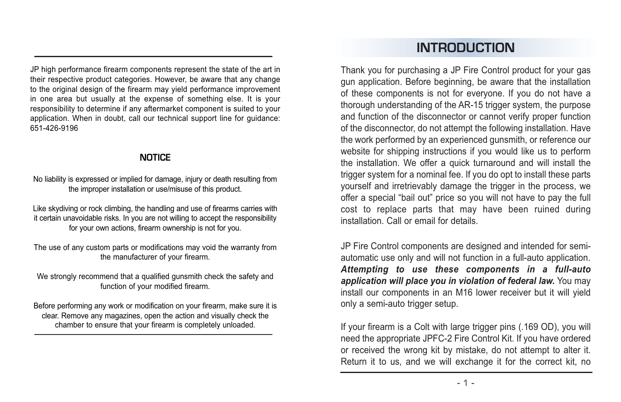JP high performance firearm components represent the state of the art in their respective product categories. However, be aware that any change to the original design of the firearm may vield performance improvement in one area but usually at the expense of something else. It is your responsibility to determine if any aftermarket component is suited to your application. When in doubt, call our technical support line for guidance: 651-426-9196

#### **NOTICE**

No liability is expressed or implied for damage, injury or death resulting from the improper installation or use/misuse of this product.

Like skydiving or rock climbing, the handling and use of firearms carries with it certain unavoidable risks. In you are not willing to accept the responsibility for your own actions, firearm ownership is not for you.

The use of any custom parts or modifications may void the warranty from the manufacturer of your firearm.

We strongly recommend that a qualified gunsmith check the safety and function of your modified firearm.

Before performing any work or modification on your firearm, make sure it is clear. Remove any magazines, open the action and visually check the chamber to ensure that your firearm is completely unloaded.

# **INTRODUCTION**

Thank you for purchasing a JP Fire Control product for your gas gun application. Before beginning, be aware that the installation of these components is not for everyone. If you do not have a thorough understanding of the AR-15 trigger system, the purpose and function of the disconnector or cannot verify proper function of the disconnector, do not attempt the following installation. Have the work performed by an experienced gunsmith, or reference our website for shipping instructions if you would like us to perform the installation. We offer a quick turnaround and will install the trigger system for a nominal fee. If you do opt to install these parts yourself and irretrievably damage the trigger in the process, we offer a special "bail out" price so you will not have to pay the full cost to replace parts that may have been ruined during installation. Call or email for details.

JP Fire Control components are designed and intended for semiautomatic use only and will not function in a full-auto application. *Attempting to use these components in a full-auto application will place you in violation of federal law.* You may install our components in an M16 lower receiver but it will yield only a semi-auto trigger setup.

If your firearm is a Colt with large trigger pins (.169 OD), you will need the appropriate JPFC-2 Fire Control Kit. If you have ordered or received the wrong kit by mistake, do not attempt to alter it. Return it to us, and we will exchange it for the correct kit, no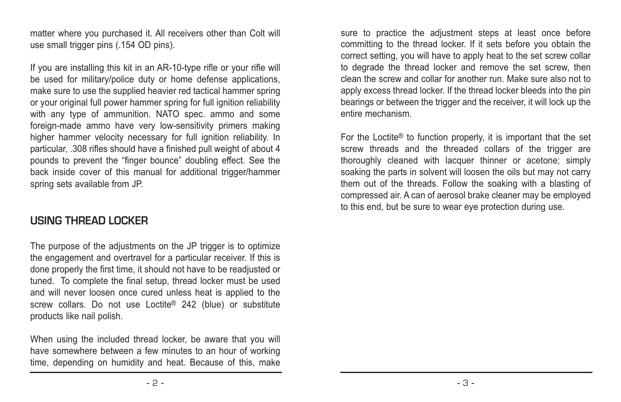matter where you purchased it. All receivers other than Colt will use small trigger pins (.154 OD pins).

If you are installing this kit in an AR-10-type rifle or your rifle will be used for military/police duty or home defense applications, make sure to use the supplied heavier red tactical hammer spring or your original full power hammer spring for full ignition reliability with any type of ammunition. NATO spec. ammo and some foreign-made ammo have very low-sensitivity primers making higher hammer velocity necessary for full ignition reliability. In particular, .308 rifles should have a finished pull weight of about 4 pounds to prevent the "finger bounce" doubling effect. See the back inside cover of this manual for additional trigger/hammer spring sets available from JP.

#### **USING THREAD LOCKER**

The purpose of the adjustments on the JP trigger is to optimize the engagement and overtravel for a particular receiver. If this is done properly the first time, it should not have to be readjusted or tuned. To complete the final setup, thread locker must be used and will never loosen once cured unless heat is applied to the screw collars. Do not use Loctite<sup>®</sup> 242 (blue) or substitute products like nail polish.

When using the included thread locker, be aware that you will have somewhere between a few minutes to an hour of working time, depending on humidity and heat. Because of this, make

sure to practice the adjustment steps at least once before committing to the thread locker. If it sets before you obtain the correct setting, you will have to apply heat to the set screw collar to degrade the thread locker and remove the set screw, then clean the screw and collar for another run. Make sure also not to apply excess thread locker. If the thread locker bleeds into the pin bearings or between the trigger and the receiver, it will lock up the entire mechanism.

For the Loctite® to function properly, it is important that the set screw threads and the threaded collars of the trigger are thoroughly cleaned with lacquer thinner or acetone; simply soaking the parts in solvent will loosen the oils but may not carry them out of the threads. Follow the soaking with a blasting of compressed air. A can of aerosol brake cleaner may be employed to this end, but be sure to wear eye protection during use.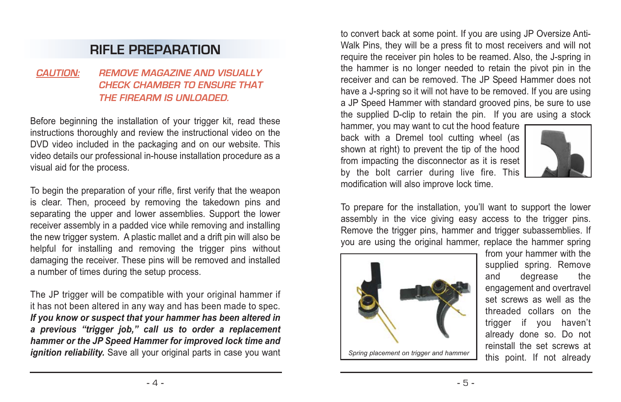## **RIFLE PREPARATION**

#### **CAUTION: REMOVE MAGAZINE AND VISUALLY CHECK CHAMBER TO ENSURE THAT THE FIREARM IS UNLOADED.**

Before beginning the installation of your trigger kit, read these instructions thoroughly and review the instructional video on the DVD video included in the packaging and on our website. This video details our professional in-house installation procedure as a visual aid for the process.

To begin the preparation of your rifle, first verify that the weapon is clear. Then, proceed by removing the takedown pins and separating the upper and lower assemblies. Support the lower receiver assembly in a padded vice while removing and installing the new trigger system. A plastic mallet and a drift pin will also be helpful for installing and removing the trigger pins without damaging the receiver. These pins will be removed and installed a number of times during the setup process.

The JP trigger will be compatible with your original hammer if it has not been altered in any way and has been made to spec. *If you know or suspect that your hammer has been altered in a previous "trigger job," call us to order a replacement hammer or the JP Speed Hammer for improved lock time and ignition reliability.* Save all your original parts in case you want Spring placement on trigger and hammer

to convert back at some point. If you are using JP Oversize Anti-Walk Pins, they will be a press fit to most receivers and will not require the receiver pin holes to be reamed. Also, the J-spring in the hammer is no longer needed to retain the pivot pin in the receiver and can be removed. The JP Speed Hammer does not have a J-spring so it will not have to be removed. If you are using a JP Speed Hammer with standard grooved pins, be sure to use the supplied D-clip to retain the pin. If you are using a stock

hammer, you may want to cut the hood feature back with a Dremel tool cutting wheel (as shown at right) to prevent the tip of the hood from impacting the disconnector as it is reset by the bolt carrier during live fire. This modification will also improve lock time.



To prepare for the installation, you'll want to support the lower assembly in the vice giving easy access to the trigger pins. Remove the trigger pins, hammer and trigger subassemblies. If you are using the original hammer, replace the hammer spring



from your hammer with the supplied spring. Remove and degrease the engagement and overtravel set screws as well as the threaded collars on the trigger if you haven't already done so. Do not reinstall the set screws at this point. If not already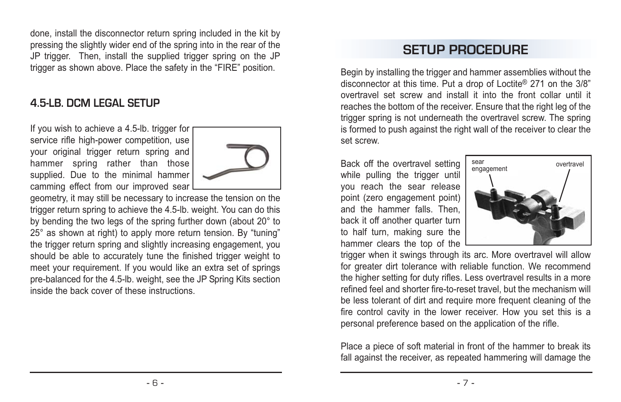done, install the disconnector return spring included in the kit by pressing the slightly wider end of the spring into in the rear of the JP trigger. Then, install the supplied trigger spring on the JP trigger as shown above. Place the safety in the "FIRE" position.

#### **4.5-LB. DCM LEGAL SETUP**

If you wish to achieve a 4.5-lb. trigger for service rifle high-power competition, use your original trigger return spring and hammer spring rather than those supplied. Due to the minimal hammer camming effect from our improved sear



geometry, it may still be necessary to increase the tension on the trigger return spring to achieve the 4.5-lb. weight. You can do this by bending the two legs of the spring further down (about 20° to 25° as shown at right) to apply more return tension. By "tuning" the trigger return spring and slightly increasing engagement, you should be able to accurately tune the finished trigger weight to meet your requirement. If you would like an extra set of springs pre-balanced for the 4.5-lb. weight, see the JP Spring Kits section inside the back cover of these instructions.

## **SETUP PROCEDURE**

Begin by installing the trigger and hammer assemblies without the disconnector at this time. Put a drop of Loctite® 271 on the 3/8" overtravel set screw and install it into the front collar until it reaches the bottom of the receiver. Ensure that the right leg of the trigger spring is not underneath the overtravel screw. The spring is formed to push against the right wall of the receiver to clear the set screw.

Back off the overtravel setting while pulling the trigger until you reach the sear release point (zero engagement point) and the hammer falls. Then back it off another quarter turn to half turn, making sure the hammer clears the top of the



trigger when it swings through its arc. More overtravel will allow for greater dirt tolerance with reliable function. We recommend the higher setting for duty rifles. Less overtravel results in a more refined feel and shorter fire-to-reset travel, but the mechanism will be less tolerant of dirt and require more frequent cleaning of the fire control cavity in the lower receiver. How you set this is a personal preference based on the application of the rifle.

Place a piece of soft material in front of the hammer to break its fall against the receiver, as repeated hammering will damage the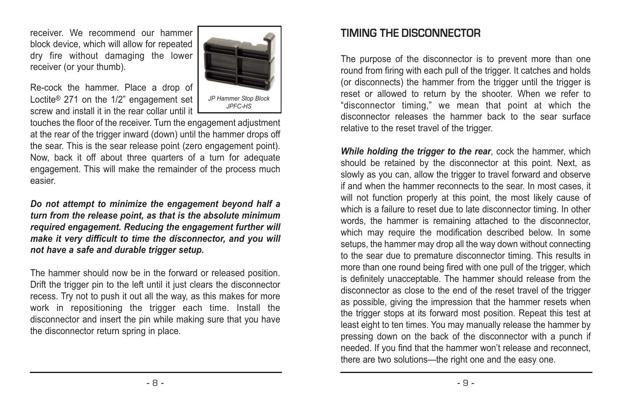receiver. We recommend our hammer block device, which will allow for repeated dry fire without damaging the lower receiver (or your thumb).



Re-cock the hammer. Place a drop of Loctite ® 271 on the 1/2" engagement set screw and install it in the rear collar until it

touches the floor of the receiver. Turn the engagement adjustment at the rear of the trigger inward (down) until the hammer drops off the sear. This is the sear release point (zero engagement point). Now, back it off about three quarters of a turn for adequate engagement. This will make the remainder of the process much easier.

*Do not attempt to minimize the engagement beyond half a turn from the release point, as that is the absolute minimum required engagement. Reducing the engagement further will make it very difficult to time the disconnector, and you will not have a safe and durable trigger setup.*

The hammer should now be in the forward or released position. Drift the trigger pin to the left until it just clears the disconnector recess. Try not to push it out all the way, as this makes for more work in repositioning the trigger each time. Install the disconnector and insert the pin while making sure that you have the disconnector return spring in place.

### **TIMING THE DISCONNECTOR**

The purpose of the disconnector is to prevent more than one round from firing with each pull of the trigger. It catches and holds (or disconnects) the hammer from the trigger until the trigger is reset or allowed to return by the shooter. When we refer to "disconnector timing," we mean that point at which the disconnector releases the hammer back to the sear surface relative to the reset travel of the trigger.

*While holding the trigger to the rear*, cock the hammer, which should be retained by the disconnector at this point. Next, as slowly as you can, allow the trigger to travel forward and observe if and when the hammer reconnects to the sear. In most cases, it will not function properly at this point, the most likely cause of which is a failure to reset due to late disconnector timing. In other words, the hammer is remaining attached to the disconnector, which may require the modification described below. In some setups, the hammer may drop all the way down without connecting to the sear due to premature disconnector timing. This results in more than one round being fired with one pull of the trigger, which is definitely unacceptable. The hammer should release from the disconnector as close to the end of the reset travel of the trigger as possible, giving the impression that the hammer resets when the trigger stops at its forward most position. Repeat this test at least eight to ten times. You may manually release the hammer by pressing down on the back of the disconnector with a punch if needed. If you find that the hammer won't release and reconnect, there are two solutions—the right one and the easy one.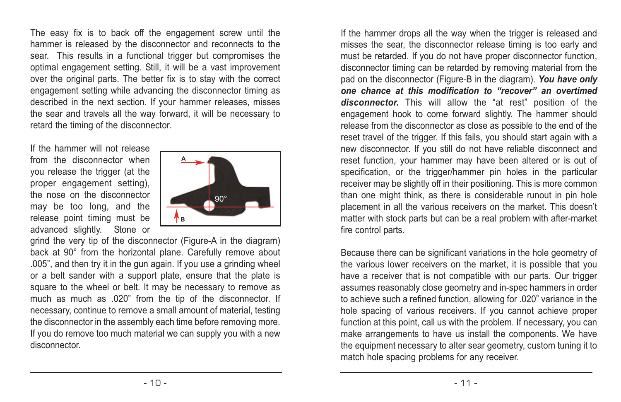The easy fix is to back off the engagement screw until the hammer is released by the disconnector and reconnects to the sear. This results in a functional trigger but compromises the optimal engagement setting. Still, it will be a vast improvement over the original parts. The better fix is to stay with the correct engagement setting while advancing the disconnector timing as described in the next section. If your hammer releases, misses the sear and travels all the way forward, it will be necessary to retard the timing of the disconnector.

If the hammer will not release from the disconnector when you release the trigger (at the proper engagement setting), the nose on the disconnector may be too long, and the release point timing must be advanced slightly. Stone or



grind the very tip of the disconnector (Figure-A in the diagram) back at 90° from the horizontal plane. Carefully remove about .005", and then try it in the gun again. If you use a grinding wheel or a belt sander with a support plate, ensure that the plate is square to the wheel or belt. It may be necessary to remove as much as much as .020" from the tip of the disconnector. If necessary, continue to remove a small amount of material, testing the disconnector in the assembly each time before removing more. If you do remove too much material we can supply you with a new disconnector.

If the hammer drops all the way when the trigger is released and misses the sear, the disconnector release timing is too early and must be retarded. If you do not have proper disconnector function, disconnector timing can be retarded by removing material from the pad on the disconnector (Figure-B in the diagram). *You have only one chance at this modification to "recover" an overtimed disconnector.* This will allow the "at rest" position of the engagement hook to come forward slightly. The hammer should release from the disconnector as close as possible to the end of the reset travel of the trigger. If this fails, you should start again with a new disconnector. If you still do not have reliable disconnect and reset function, your hammer may have been altered or is out of specification, or the trigger/hammer pin holes in the particular receiver may be slightly off in their positioning. This is more common than one might think, as there is considerable runout in pin hole placement in all the various receivers on the market. This doesn't matter with stock parts but can be a real problem with after-market fire control parts.

Because there can be significant variations in the hole geometry of the various lower receivers on the market, it is possible that you have a receiver that is not compatible with our parts. Our trigger assumes reasonably close geometry and in-spec hammers in order to achieve such a refined function, allowing for .020" variance in the hole spacing of various receivers. If you cannot achieve proper function at this point, call us with the problem. If necessary, you can make arrangements to have us install the components. We have the equipment necessary to alter sear geometry, custom tuning it to match hole spacing problems for any receiver.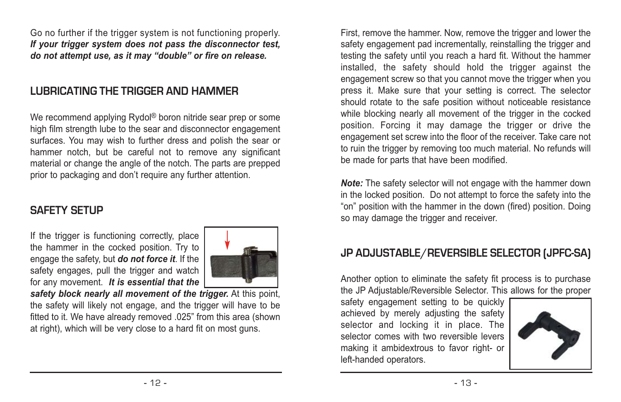Go no further if the trigger system is not functioning properly. *If your trigger system does not pass the disconnector test, do not attempt use, as it may "double" or fire on release.*

### **LUBRICATING THE TRIGGER AND HAMMER**

We recommend applying Rydol ® boron nitride sear prep or some high film strength lube to the sear and disconnector engagement surfaces. You may wish to further dress and polish the sear or hammer notch, but be careful not to remove any significant material or change the angle of the notch. The parts are prepped prior to packaging and don't require any further attention.

#### **SAFFTY SFTLIP**

If the trigger is functioning correctly, place the hammer in the cocked position. Try to engage the safety, but *do not force it*. If the safety engages, pull the trigger and watch for any movement. *It is essential that the*



*safety block nearly all movement of the trigger.* At this point, the safety will likely not engage, and the trigger will have to be fitted to it. We have already removed .025" from this area (shown at right), which will be very close to a hard fit on most guns.

First, remove the hammer. Now, remove the trigger and lower the safety engagement pad incrementally, reinstalling the trigger and testing the safety until you reach a hard fit. Without the hammer installed, the safety should hold the trigger against the engagement screw so that you cannot move the trigger when you press it. Make sure that your setting is correct. The selector should rotate to the safe position without noticeable resistance while blocking nearly all movement of the trigger in the cocked position. Forcing it may damage the trigger or drive the engagement set screw into the floor of the receiver. Take care not to ruin the trigger by removing too much material. No refunds will be made for parts that have been modified.

*Note:* The safety selector will not engage with the hammer down in the locked position. Do not attempt to force the safety into the "on" position with the hammer in the down (fired) position. Doing so may damage the trigger and receiver.

#### **JP ADJUSTABLE/REVERSIBLE SELECTOR (JPFC-SA)**

Another option to eliminate the safety fit process is to purchase the JP Adjustable/Reversible Selector. This allows for the proper

safety engagement setting to be quickly achieved by merely adjusting the safety selector and locking it in place. The selector comes with two reversible levers making it ambidextrous to favor right- or left-handed operators.

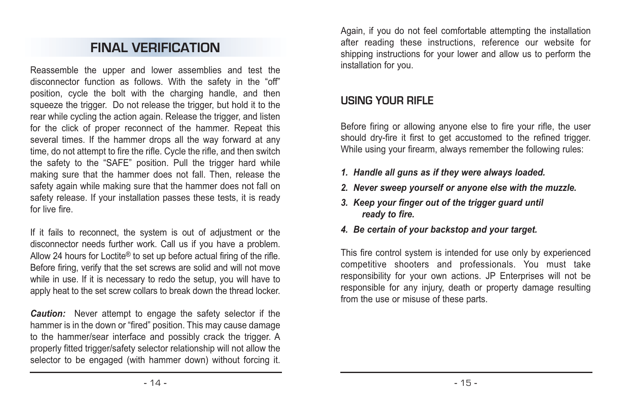## **FINAL VERIFICATION**

Reassemble the upper and lower assemblies and test the disconnector function as follows. With the safety in the "off" position, cycle the bolt with the charging handle, and then squeeze the trigger. Do not release the trigger, but hold it to the rear while cycling the action again. Release the trigger, and listen for the click of proper reconnect of the hammer. Repeat this several times. If the hammer drops all the way forward at any time, do not attempt to fire the rifle. Cycle the rifle, and then switch the safety to the "SAFE" position. Pull the trigger hard while making sure that the hammer does not fall. Then, release the safety again while making sure that the hammer does not fall on safety release. If your installation passes these tests, it is ready for live fire.

If it fails to reconnect, the system is out of adjustment or the disconnector needs further work. Call us if you have a problem. Allow 24 hours for Loctite® to set up before actual firing of the rifle. Before firing, verify that the set screws are solid and will not move while in use. If it is necessary to redo the setup, you will have to apply heat to the set screw collars to break down the thread locker.

*Caution:* Never attempt to engage the safety selector if the hammer is in the down or "fired" position. This may cause damage to the hammer/sear interface and possibly crack the trigger. A properly fitted trigger/safety selector relationship will not allow the selector to be engaged (with hammer down) without forcing it.

Again, if you do not feel comfortable attempting the installation after reading these instructions, reference our website for shipping instructions for your lower and allow us to perform the installation for you.

### **USING YOUR RIFLE**

Before firing or allowing anyone else to fire your rifle, the user should dry-fire it first to get accustomed to the refined trigger. While using your firearm, always remember the following rules:

- *1. Handle all guns as if they were always loaded.*
- *2. Never sweep yourself or anyone else with the muzzle.*
- *3. Keep your finger out of the trigger guard until ready to fire.*
- *4. Be certain of your backstop and your target.*

This fire control system is intended for use only by experienced competitive shooters and professionals. You must take responsibility for your own actions. JP Enterprises will not be responsible for any injury, death or property damage resulting from the use or misuse of these parts.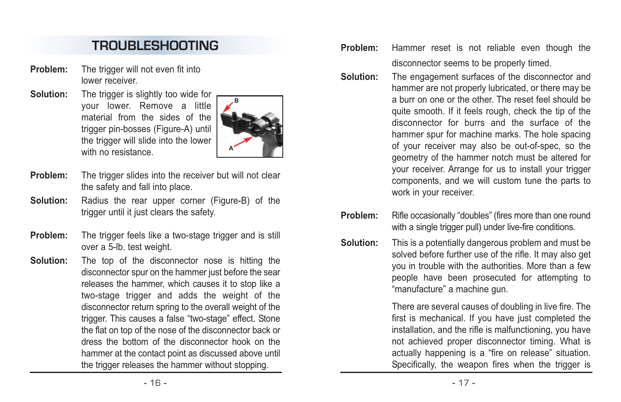# **TROUBLESHOOTING**

- **Problem:** The trigger will not even fit into lower receiver.
- **Solution:** The trigger is slightly too wide for your lower. Remove a little material from the sides of the trigger pin-bosses (Figure-A) until the trigger will slide into the lower with no resistance



- **Problem:** The trigger slides into the receiver but will not clear the safety and fall into place.
- **Solution:** Radius the rear upper corner (Figure-B) of the trigger until it just clears the safety.
- **Problem:** The trigger feels like a two-stage trigger and is still over a 5-lb. test weight.
- **Solution:** The top of the disconnector nose is hitting the disconnector spur on the hammer just before the sear releases the hammer, which causes it to stop like a two-stage trigger and adds the weight of the disconnector return spring to the overall weight of the trigger. This causes a false "two-stage" effect. Stone the flat on top of the nose of the disconnector back or dress the bottom of the disconnector hook on the hammer at the contact point as discussed above until the trigger releases the hammer without stopping.
- **Problem:** Hammer reset is not reliable even though the disconnector seems to be properly timed.
- **Solution:** The engagement surfaces of the disconnector and hammer are not properly lubricated, or there may be a burr on one or the other. The reset feel should be quite smooth. If it feels rough, check the tip of the disconnector for burrs and the surface of the hammer spur for machine marks. The hole spacing of your receiver may also be out-of-spec, so the geometry of the hammer notch must be altered for your receiver. Arrange for us to install your trigger components, and we will custom tune the parts to work in your receiver.
- **Problem:** Rifle occasionally "doubles" (fires more than one round with a single trigger pull) under live-fire conditions.
- **Solution:** This is a potentially dangerous problem and must be solved before further use of the rifle. It may also get you in trouble with the authorities. More than a few people have been prosecuted for attempting to "manufacture" a machine gun.

There are several causes of doubling in live fire. The first is mechanical. If you have just completed the installation, and the rifle is malfunctioning, you have not achieved proper disconnector timing. What is actually happening is a "fire on release" situation. Specifically, the weapon fires when the trigger is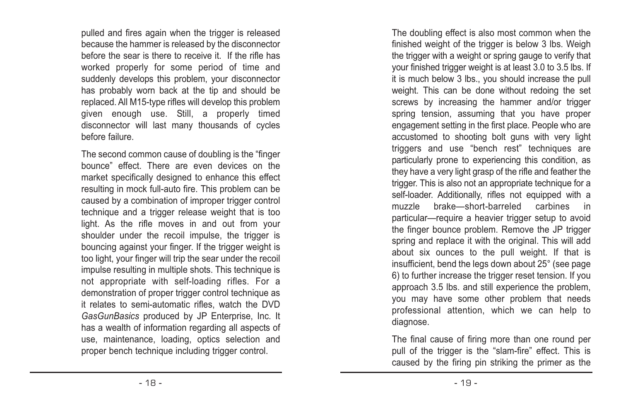pulled and fires again when the trigger is released because the hammer is released by the disconnector before the sear is there to receive it. If the rifle has worked properly for some period of time and suddenly develops this problem, your disconnector has probably worn back at the tip and should be replaced. All M15-type rifles will develop this problem given enough use. Still, a properly timed disconnector will last many thousands of cycles before failure.

The second common cause of doubling is the "finger bounce" effect. There are even devices on the market specifically designed to enhance this effect resulting in mock full-auto fire. This problem can be caused by a combination of improper trigger control technique and a trigger release weight that is too light. As the rifle moves in and out from your shoulder under the recoil impulse, the trigger is bouncing against your finger. If the trigger weight is too light, your finger will trip the sear under the recoil impulse resulting in multiple shots. This technique is not appropriate with self-loading rifles. For a demonstration of proper trigger control technique as it relates to semi-automatic rifles, watch the DVD *GasGunBasics* produced by JP Enterprise, Inc. It has a wealth of information regarding all aspects of use, maintenance, loading, optics selection and proper bench technique including trigger control.

The doubling effect is also most common when the finished weight of the trigger is below 3 lbs. Weigh the trigger with a weight or spring gauge to verify that your finished trigger weight is at least 3.0 to 3.5 lbs. If it is much below 3 lbs., you should increase the pull weight. This can be done without redoing the set screws by increasing the hammer and/or trigger spring tension, assuming that you have proper engagement setting in the first place. People who are accustomed to shooting bolt guns with very light triggers and use "bench rest" techniques are particularly prone to experiencing this condition, as they have a very light grasp of the rifle and feather the trigger. This is also not an appropriate technique for a self-loader. Additionally, rifles not equipped with a muzzle brake—short-barreled carbines in particular—require a heavier trigger setup to avoid the finger bounce problem. Remove the JP trigger spring and replace it with the original. This will add about six ounces to the pull weight. If that is insufficient, bend the legs down about 25° (see page 6) to further increase the trigger reset tension. If you approach 3.5 lbs. and still experience the problem, you may have some other problem that needs professional attention, which we can help to diagnose.

The final cause of firing more than one round per pull of the trigger is the "slam-fire" effect. This is caused by the firing pin striking the primer as the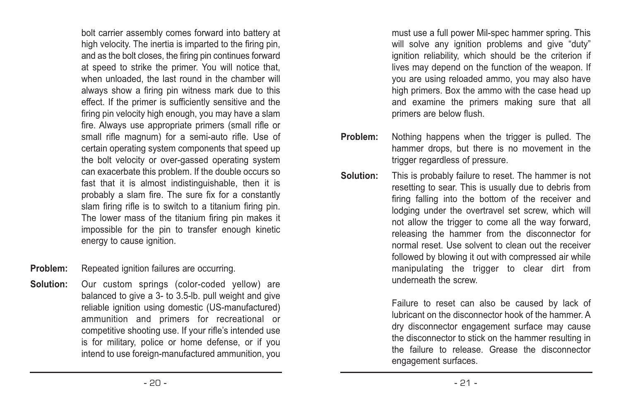bolt carrier assembly comes forward into battery at high velocity. The inertia is imparted to the firing pin, and as the bolt closes, the firing pin continues forward at speed to strike the primer. You will notice that, when unloaded, the last round in the chamber will always show a firing pin witness mark due to this effect. If the primer is sufficiently sensitive and the firing pin velocity high enough, you may have a slam fire. Always use appropriate primers (small rifle or small rifle magnum) for a semi-auto rifle. Use of certain operating system components that speed up the bolt velocity or over-gassed operating system can exacerbate this problem. If the double occurs so fast that it is almost indistinguishable, then it is probably a slam fire. The sure fix for a constantly slam firing rifle is to switch to a titanium firing pin. The lower mass of the titanium firing pin makes it impossible for the pin to transfer enough kinetic energy to cause ignition.

**Problem:** Repeated ignition failures are occurring.

**Solution:** Our custom springs (color-coded yellow) are balanced to give a 3- to 3.5-lb. pull weight and give reliable ignition using domestic (US-manufactured) ammunition and primers for recreational or competitive shooting use. If your rifle's intended use is for military, police or home defense, or if you intend to use foreign-manufactured ammunition, you must use a full power Mil-spec hammer spring. This will solve any ignition problems and give "duty" ignition reliability, which should be the criterion if lives may depend on the function of the weapon. If you are using reloaded ammo, you may also have high primers. Box the ammo with the case head up and examine the primers making sure that all primers are below flush.

- **Problem:** Nothing happens when the trigger is pulled. The hammer drops, but there is no movement in the trigger regardless of pressure.
- **Solution:** This is probably failure to reset. The hammer is not resetting to sear. This is usually due to debris from firing falling into the bottom of the receiver and lodging under the overtravel set screw, which will not allow the trigger to come all the way forward, releasing the hammer from the disconnector for normal reset. Use solvent to clean out the receiver followed by blowing it out with compressed air while manipulating the trigger to clear dirt from underneath the screw.

Failure to reset can also be caused by lack of lubricant on the disconnector hook of the hammer. A dry disconnector engagement surface may cause the disconnector to stick on the hammer resulting in the failure to release. Grease the disconnector engagement surfaces.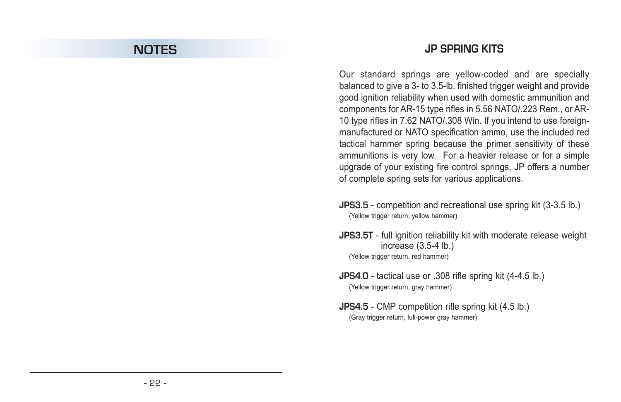## **NOTES**

### **JP SPRING KITS**

Our standard springs are yellow-coded and are specially balanced to give a 3- to 3.5-lb. finished trigger weight and provide good ignition reliability when used with domestic ammunition and components for AR-15 type rifles in 5.56 NATO/.223 Rem., or AR-10 type rifles in 7.62 NATO/.308 Win. If you intend to use foreignmanufactured or NATO specification ammo, use the included red tactical hammer spring because the primer sensitivity of these ammunitions is very low. For a heavier release or for a simple upgrade of your existing fire control springs, JP offers a number of complete spring sets for various applications.

- **JPS3.5** competition and recreational use spring kit (3-3.5 lb.) (Yellow trigger return, yellow hammer)
- **JPS3.5T** full ignition reliability kit with moderate release weight increase (3.5-4 lb.) (Yellow trigger return, red hammer)
- **JPS4.0** tactical use or .308 rifle spring kit (4-4.5 lb.) (Yellow trigger return, gray hammer)
- **JPS4.5** CMP competition rifle spring kit (4.5 lb.) (Gray trigger return, full-power gray hammer)